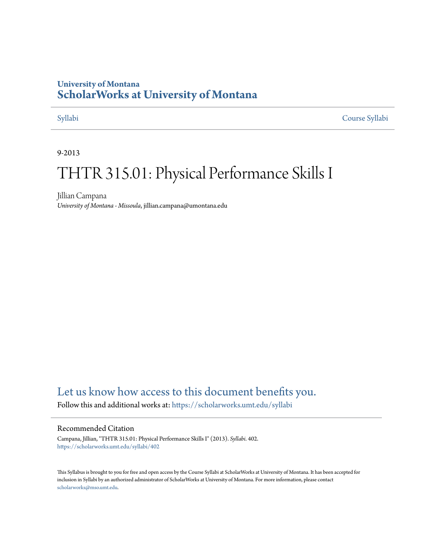## **University of Montana [ScholarWorks at University of Montana](https://scholarworks.umt.edu?utm_source=scholarworks.umt.edu%2Fsyllabi%2F402&utm_medium=PDF&utm_campaign=PDFCoverPages)**

[Syllabi](https://scholarworks.umt.edu/syllabi?utm_source=scholarworks.umt.edu%2Fsyllabi%2F402&utm_medium=PDF&utm_campaign=PDFCoverPages) [Course Syllabi](https://scholarworks.umt.edu/course_syllabi?utm_source=scholarworks.umt.edu%2Fsyllabi%2F402&utm_medium=PDF&utm_campaign=PDFCoverPages)

#### 9-2013

# THTR 315.01: Physical Performance Skills I

Jillian Campana *University of Montana - Missoula*, jillian.campana@umontana.edu

# [Let us know how access to this document benefits you.](https://goo.gl/forms/s2rGfXOLzz71qgsB2)

Follow this and additional works at: [https://scholarworks.umt.edu/syllabi](https://scholarworks.umt.edu/syllabi?utm_source=scholarworks.umt.edu%2Fsyllabi%2F402&utm_medium=PDF&utm_campaign=PDFCoverPages)

#### Recommended Citation

Campana, Jillian, "THTR 315.01: Physical Performance Skills I" (2013). *Syllabi*. 402. [https://scholarworks.umt.edu/syllabi/402](https://scholarworks.umt.edu/syllabi/402?utm_source=scholarworks.umt.edu%2Fsyllabi%2F402&utm_medium=PDF&utm_campaign=PDFCoverPages)

This Syllabus is brought to you for free and open access by the Course Syllabi at ScholarWorks at University of Montana. It has been accepted for inclusion in Syllabi by an authorized administrator of ScholarWorks at University of Montana. For more information, please contact [scholarworks@mso.umt.edu](mailto:scholarworks@mso.umt.edu).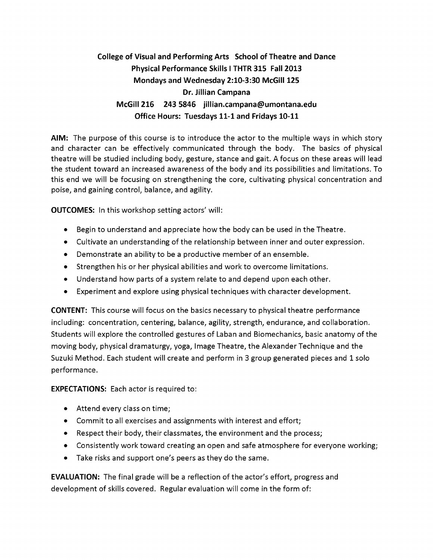# **College of Visual and Perform ing Arts School of Theatre and Dance Physical Performance Skills I THTR 315 Fall 2013 Mondays and W ednesday 2:10-3:30 McGill 125 Dr. Jillian Campana McGill 216 243 5846 jillian.cam pana@ um ontana.edu Office Hours: Tuesdays 11-1 and Fridays 10-11**

**AIM:** The purpose of this course is to introduce the actor to the multiple ways in which story and character can be effectively communicated through the body. The basics of physical theatre will be studied including body, gesture, stance and gait. A focus on these areas will lead the student toward an increased awareness of the body and its possibilities and limitations. To this end we will be focusing on strengthening the core, cultivating physical concentration and poise, and gaining control, balance, and agility.

**OUTCOMES:** In this workshop setting actors' will:

- Begin to understand and appreciate how the body can be used in the Theatre.
- Cultivate an understanding of the relationship between inner and outer expression.
- Demonstrate an ability to be a productive member of an ensemble.
- Strengthen his or her physical abilities and work to overcome limitations.
- Understand how parts of a system relate to and depend upon each other.
- Experiment and explore using physical techniques with character development.

**CONTENT:** This course will focus on the basics necessary to physical theatre performance including: concentration, centering, balance, agility, strength, endurance, and collaboration. Students will explore the controlled gestures of Laban and Biomechanics, basic anatomy of the moving body, physical dramaturgy, yoga, Image Theatre, the Alexander Technique and the Suzuki Method. Each student will create and perform in 3 group generated pieces and 1 solo performance.

**EXPECTATIONS:** Each actor is required to:

- Attend every class on time;
- Commit to all exercises and assignments with interest and effort;
- Respect their body, their classmates, the environment and the process;
- Consistently work toward creating an open and safe atmosphere for everyone working;
- Take risks and support one's peers as they do the same.

**EVALUATION:** The final grade will be a reflection of the actor's effort, progress and development of skills covered. Regular evaluation will come in the form of: